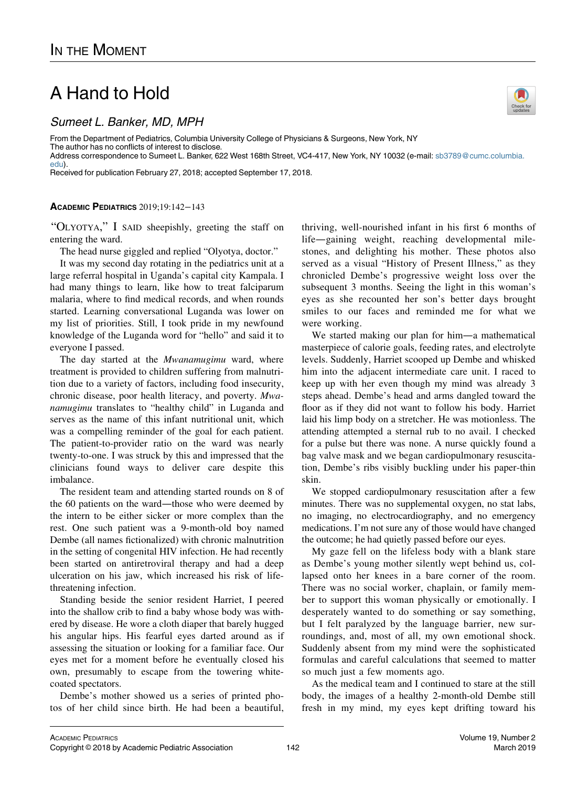## A Hand to Hold

Sumeet L. Banker, MD, MPH

From the Department of Pediatrics, Columbia University College of Physicians & Surgeons, New York, NY The author has no conflicts of interest to disclose.

Address correspondence to Sumeet L. Banker, 622 West 168th Street, VC4-417, New York, NY 10032 (e-mail: [sb3789@cumc.columbia.](mailto:sb3789@cumc.columbia.edu) [edu\)](mailto:sb3789@cumc.columbia.edu).

Received for publication February 27, 2018; accepted September 17, 2018.

## ACADEMIC PEDIATRICS 2019;19:142−143

"OLYOTYA," I SAID sheepishly, greeting the staff on entering the ward.

The head nurse giggled and replied "Olyotya, doctor."

It was my second day rotating in the pediatrics unit at a large referral hospital in Uganda's capital city Kampala. I had many things to learn, like how to treat falciparum malaria, where to find medical records, and when rounds started. Learning conversational Luganda was lower on my list of priorities. Still, I took pride in my newfound knowledge of the Luganda word for "hello" and said it to everyone I passed.

The day started at the *Mwanamugimu* ward, where treatment is provided to children suffering from malnutrition due to a variety of factors, including food insecurity, chronic disease, poor health literacy, and poverty. Mwanamugimu translates to "healthy child" in Luganda and serves as the name of this infant nutritional unit, which was a compelling reminder of the goal for each patient. The patient-to-provider ratio on the ward was nearly twenty-to-one. I was struck by this and impressed that the clinicians found ways to deliver care despite this imbalance.

The resident team and attending started rounds on 8 of the 60 patients on the ward—those who were deemed by the intern to be either sicker or more complex than the rest. One such patient was a 9-month-old boy named Dembe (all names fictionalized) with chronic malnutrition in the setting of congenital HIV infection. He had recently been started on antiretroviral therapy and had a deep ulceration on his jaw, which increased his risk of lifethreatening infection.

Standing beside the senior resident Harriet, I peered into the shallow crib to find a baby whose body was withered by disease. He wore a cloth diaper that barely hugged his angular hips. His fearful eyes darted around as if assessing the situation or looking for a familiar face. Our eyes met for a moment before he eventually closed his own, presumably to escape from the towering whitecoated spectators.

Dembe's mother showed us a series of printed photos of her child since birth. He had been a beautiful, thriving, well-nourished infant in his first 6 months of life—gaining weight, reaching developmental milestones, and delighting his mother. These photos also served as a visual "History of Present Illness," as they chronicled Dembe's progressive weight loss over the subsequent 3 months. Seeing the light in this woman's eyes as she recounted her son's better days brought smiles to our faces and reminded me for what we were working.

We started making our plan for him—a mathematical masterpiece of calorie goals, feeding rates, and electrolyte levels. Suddenly, Harriet scooped up Dembe and whisked him into the adjacent intermediate care unit. I raced to keep up with her even though my mind was already 3 steps ahead. Dembe's head and arms dangled toward the floor as if they did not want to follow his body. Harriet laid his limp body on a stretcher. He was motionless. The attending attempted a sternal rub to no avail. I checked for a pulse but there was none. A nurse quickly found a bag valve mask and we began cardiopulmonary resuscitation, Dembe's ribs visibly buckling under his paper-thin skin.

We stopped cardiopulmonary resuscitation after a few minutes. There was no supplemental oxygen, no stat labs, no imaging, no electrocardiography, and no emergency medications. I'm not sure any of those would have changed the outcome; he had quietly passed before our eyes.

My gaze fell on the lifeless body with a blank stare as Dembe's young mother silently wept behind us, collapsed onto her knees in a bare corner of the room. There was no social worker, chaplain, or family member to support this woman physically or emotionally. I desperately wanted to do something or say something, but I felt paralyzed by the language barrier, new surroundings, and, most of all, my own emotional shock. Suddenly absent from my mind were the sophisticated formulas and careful calculations that seemed to matter so much just a few moments ago.

As the medical team and I continued to stare at the still body, the images of a healthy 2-month-old Dembe still fresh in my mind, my eyes kept drifting toward his